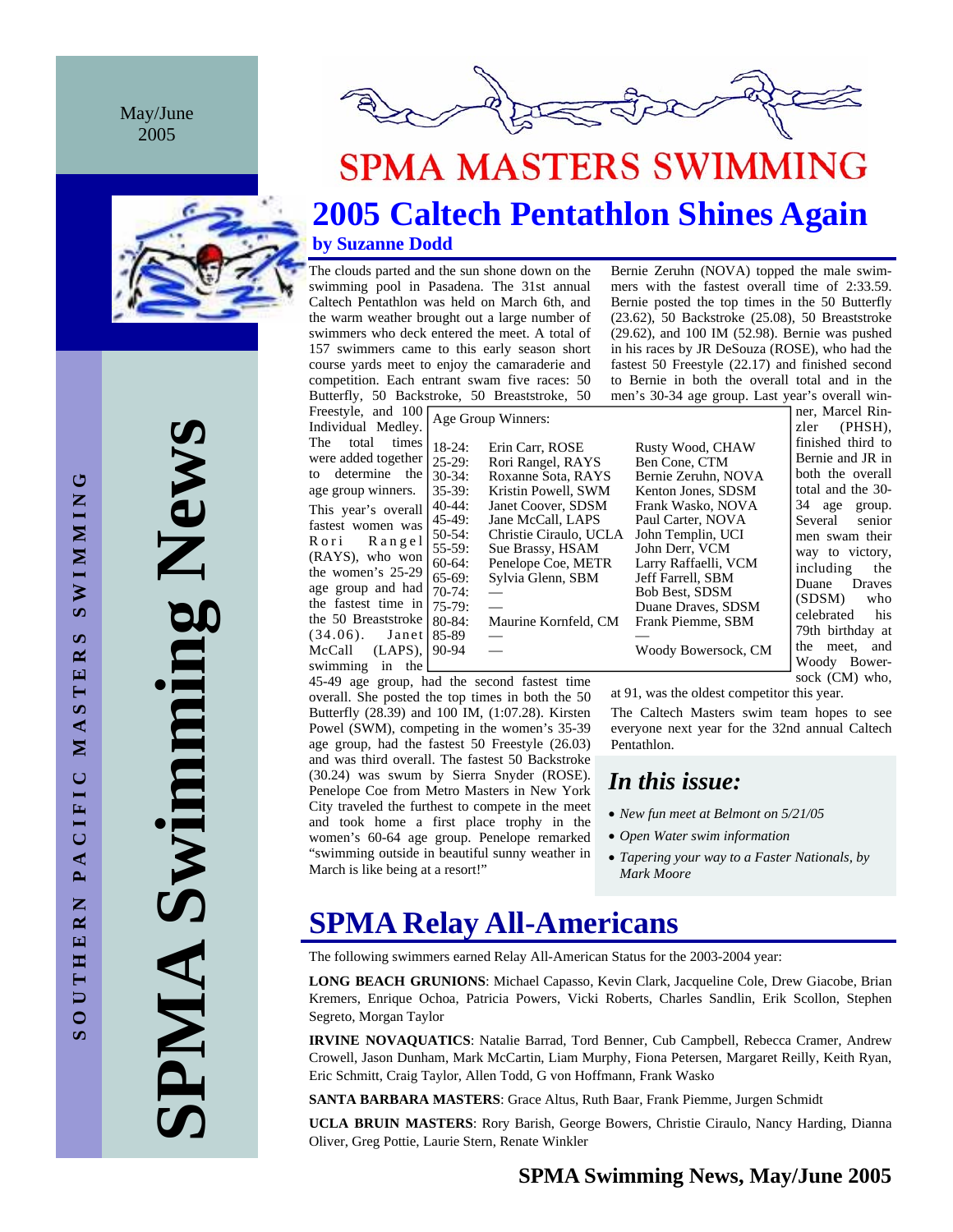May/June 2005



**SPMA MASTERS SWIMMING** 

# **2005 Caltech Pentathlon Shines Again**

**by Suzanne Dodd** 

The clouds parted and the sun shone down on the swimming pool in Pasadena. The 31st annual Caltech Pentathlon was held on March 6th, and the warm weather brought out a large number of swimmers who deck entered the meet. A total of 157 swimmers came to this early season short course yards meet to enjoy the camaraderie and competition. Each entrant swam five races: 50 Butterfly, 50 Backstroke, 50 Breaststroke, 50

Freestyle, and 100 Individual Medley. The total times were added together to determine the age group winners. This year's overall fastest women was Rori Rangel (RAYS), who won the women's 25-29 age group and had the fastest time in the 50 Breaststroke (34.06). Janet McCall (LAPS), swimming in the 85-89<br>90-94

18-24: Erin Carr, ROSE Rusty Wood, CHAW 25-29: Rori Rangel, RAYS Ben Cone, CTM<br>30-34: Roxanne Sota, RAYS Bernie Zeruhn, N 35-39: Kristin Powell, SWM Kenton Jones, SDSM 45-49: Jane McCall, LAPS Paul Carter, NOVA 50-54: Christie Ciraulo, UCLA John Templin, UCI 55-59: Sue Brassy, HSAM John Derr, VCM<br>60-64: Penelope Coe, METR Larry Raffaelli, VCM 60-64: Penelope Coe, METR 65-69: Sylvia Glenn, SBM Jeff Farrell, SBM 70-74: — Bob Best, SDSM 80-84: Maurine Kornfeld, CM Frank Piemme, SBM

Bernie Zeruhn, NOVA Frank Wasko, NOVA Duane Draves, SDSM Woody Bowersock, CM

men's 30-34 age group. Last year's overall winner, Marcel Rinzler (PHSH), finished third to Bernie and JR in both the overall total and the 30- 34 age group. Several senior men swam their way to victory, including the Duane Draves (SDSM) who celebrated his 79th birthday at the meet, and Woody Bowersock (CM) who,

45-49 age group, had the second fastest time overall. She posted the top times in both the 50 Butterfly (28.39) and 100 IM, (1:07.28). Kirsten Powel (SWM), competing in the women's 35-39 age group, had the fastest 50 Freestyle (26.03) and was third overall. The fastest 50 Backstroke (30.24) was swum by Sierra Snyder (ROSE). Penelope Coe from Metro Masters in New York City traveled the furthest to compete in the meet and took home a first place trophy in the women's 60-64 age group. Penelope remarked "swimming outside in beautiful sunny weather in March is like being at a resort!"

at 91, was the oldest competitor this year.

The Caltech Masters swim team hopes to see everyone next year for the 32nd annual Caltech Pentathlon.

Bernie Zeruhn (NOVA) topped the male swimmers with the fastest overall time of 2:33.59. Bernie posted the top times in the 50 Butterfly (23.62), 50 Backstroke (25.08), 50 Breaststroke (29.62), and 100 IM (52.98). Bernie was pushed in his races by JR DeSouza (ROSE), who had the fastest 50 Freestyle (22.17) and finished second to Bernie in both the overall total and in the

# *In this issue:*

- *New fun meet at Belmont on 5/21/05*
- *Open Water swim information*
- *Tapering your way to a Faster Nationals, by Mark Moore*

# **SPMA Relay All-Americans**

The following swimmers earned Relay All-American Status for the 2003-2004 year:

**LONG BEACH GRUNIONS**: Michael Capasso, Kevin Clark, Jacqueline Cole, Drew Giacobe, Brian Kremers, Enrique Ochoa, Patricia Powers, Vicki Roberts, Charles Sandlin, Erik Scollon, Stephen Segreto, Morgan Taylor

**IRVINE NOVAQUATICS**: Natalie Barrad, Tord Benner, Cub Campbell, Rebecca Cramer, Andrew Crowell, Jason Dunham, Mark McCartin, Liam Murphy, Fiona Petersen, Margaret Reilly, Keith Ryan, Eric Schmitt, Craig Taylor, Allen Todd, G von Hoffmann, Frank Wasko

**SANTA BARBARA MASTERS**: Grace Altus, Ruth Baar, Frank Piemme, Jurgen Schmidt

**UCLA BRUIN MASTERS**: Rory Barish, George Bowers, Christie Ciraulo, Nancy Harding, Dianna Oliver, Greg Pottie, Laurie Stern, Renate Winkler

## **SPMA Swimming News, May/June 2005**

**SOUTHERN PACIFIC MASTERS SWIMMING SWIMMING**  $\boldsymbol{\omega}$ MASTER PACIFIC OUTHERN S **SPMA Swimming News**  Swimming New AMPI

Age Group Winners: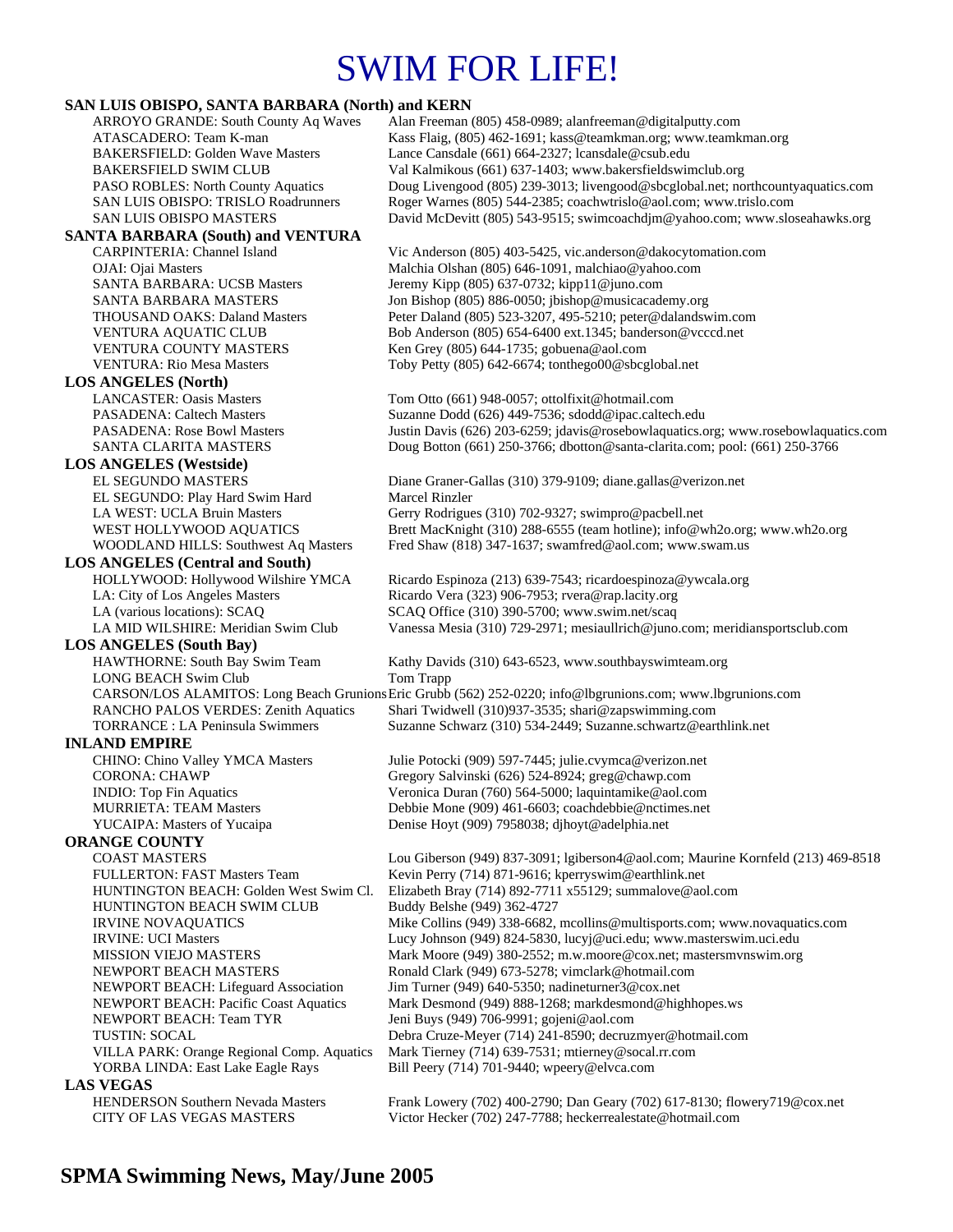# SWIM FOR LIFE!

# **SAN LUIS OBISPO, SANTA BARBARA (North) and KERN**

| SAN LUIS OBISPO, SANTA BARBARA (NOTIN) and KERN                           |                                                                                                                                                      |
|---------------------------------------------------------------------------|------------------------------------------------------------------------------------------------------------------------------------------------------|
| <b>ARROYO GRANDE: South County Aq Waves</b>                               | Alan Freeman (805) 458-0989; alanfreeman@digitalputty.com                                                                                            |
| ATASCADERO: Team K-man                                                    | Kass Flaig, (805) 462-1691; kass@teamkman.org; www.teamkman.org                                                                                      |
| <b>BAKERSFIELD: Golden Wave Masters</b>                                   | Lance Cansdale (661) 664-2327; lcansdale@csub.edu                                                                                                    |
| <b>BAKERSFIELD SWIM CLUB</b>                                              | Val Kalmikous (661) 637-1403; www.bakersfieldswimclub.org                                                                                            |
| PASO ROBLES: North County Aquatics<br>SAN LUIS OBISPO: TRISLO Roadrunners | Doug Livengood (805) 239-3013; livengood@sbcglobal.net; northcountyaquatics.com<br>Roger Warnes (805) 544-2385; coachwtrislo@aol.com; www.trislo.com |
| <b>SAN LUIS OBISPO MASTERS</b>                                            | David McDevitt (805) 543-9515; swimcoachdjm@yahoo.com; www.sloseahawks.org                                                                           |
|                                                                           |                                                                                                                                                      |
| <b>SANTA BARBARA (South) and VENTURA</b>                                  |                                                                                                                                                      |
| CARPINTERIA: Channel Island                                               | Vic Anderson (805) 403-5425, vic.anderson@dakocytomation.com                                                                                         |
| OJAI: Ojai Masters<br><b>SANTA BARBARA: UCSB Masters</b>                  | Malchia Olshan (805) 646-1091, malchiao@yahoo.com                                                                                                    |
| SANTA BARBARA MASTERS                                                     | Jeremy Kipp (805) 637-0732; kipp11@juno.com<br>Jon Bishop (805) 886-0050; jbishop@musicacademy.org                                                   |
| <b>THOUSAND OAKS: Daland Masters</b>                                      | Peter Daland (805) 523-3207, 495-5210; peter@dalandswim.com                                                                                          |
| VENTURA AQUATIC CLUB                                                      | Bob Anderson (805) 654-6400 ext.1345; banderson@vcccd.net                                                                                            |
| VENTURA COUNTY MASTERS                                                    | Ken Grey (805) 644-1735; gobuena@aol.com                                                                                                             |
| <b>VENTURA: Rio Mesa Masters</b>                                          | Toby Petty (805) 642-6674; tonthego00@sbcglobal.net                                                                                                  |
| <b>LOS ANGELES (North)</b>                                                |                                                                                                                                                      |
| <b>LANCASTER: Oasis Masters</b>                                           | Tom Otto (661) 948-0057; ottolfixit@hotmail.com                                                                                                      |
| <b>PASADENA: Caltech Masters</b>                                          | Suzanne Dodd (626) 449-7536; sdodd@ipac.caltech.edu                                                                                                  |
| PASADENA: Rose Bowl Masters                                               | Justin Davis (626) 203-6259; jdavis@rosebowlaquatics.org; www.rosebowlaquatics.com                                                                   |
| SANTA CLARITA MASTERS                                                     | Doug Botton (661) 250-3766; dbotton@santa-clarita.com; pool: (661) 250-3766                                                                          |
| <b>LOS ANGELES (Westside)</b>                                             |                                                                                                                                                      |
| <b>EL SEGUNDO MASTERS</b>                                                 | Diane Graner-Gallas (310) 379-9109; diane.gallas@verizon.net                                                                                         |
| EL SEGUNDO: Play Hard Swim Hard                                           | Marcel Rinzler                                                                                                                                       |
| LA WEST: UCLA Bruin Masters                                               | Gerry Rodrigues (310) 702-9327; swimpro@pacbell.net                                                                                                  |
| WEST HOLLYWOOD AOUATICS                                                   | Brett MacKnight (310) 288-6555 (team hotline); info@wh2o.org; www.wh2o.org                                                                           |
| WOODLAND HILLS: Southwest Aq Masters                                      | Fred Shaw (818) 347-1637; swamfred@aol.com; www.swam.us                                                                                              |
| <b>LOS ANGELES (Central and South)</b>                                    |                                                                                                                                                      |
| HOLLYWOOD: Hollywood Wilshire YMCA                                        | Ricardo Espinoza (213) 639-7543; ricardoespinoza@ywcala.org                                                                                          |
| LA: City of Los Angeles Masters                                           | Ricardo Vera (323) 906-7953; rvera@rap.lacity.org                                                                                                    |
| LA (various locations): SCAQ                                              | SCAQ Office (310) 390-5700; www.swim.net/scaq                                                                                                        |
| LA MID WILSHIRE: Meridian Swim Club                                       | Vanessa Mesia (310) 729-2971; mesiaullrich@juno.com; meridiansportsclub.com                                                                          |
| <b>LOS ANGELES</b> (South Bay)                                            |                                                                                                                                                      |
| HAWTHORNE: South Bay Swim Team                                            | Kathy Davids (310) 643-6523, www.southbayswimteam.org                                                                                                |
| LONG BEACH Swim Club                                                      | Tom Trapp                                                                                                                                            |
|                                                                           | CARSON/LOS ALAMITOS: Long Beach Grunions Eric Grubb (562) 252-0220; info@lbgrunions.com; www.lbgrunions.com                                          |
| RANCHO PALOS VERDES: Zenith Aquatics                                      | Shari Twidwell (310)937-3535; shari@zapswimming.com                                                                                                  |
| <b>TORRANCE</b> : LA Peninsula Swimmers                                   | Suzanne Schwarz (310) 534-2449; Suzanne.schwartz@earthlink.net                                                                                       |
| <b>INLAND EMPIRE</b>                                                      |                                                                                                                                                      |
| CHINO: Chino Valley YMCA Masters                                          | Julie Potocki (909) 597-7445; julie.cvymca@verizon.net                                                                                               |
| <b>CORONA: CHAWP</b>                                                      | Gregory Salvinski (626) 524-8924; greg@chawp.com                                                                                                     |
| <b>INDIO:</b> Top Fin Aquatics                                            | Veronica Duran (760) 564-5000; laquintamike@aol.com                                                                                                  |
| <b>MURRIETA: TEAM Masters</b>                                             | Debbie Mone (909) 461-6603; coachdebbie@nctimes.net                                                                                                  |
| YUCAIPA: Masters of Yucaipa                                               | Denise Hoyt (909) 7958038; djhoyt@adelphia.net                                                                                                       |
| <b>ORANGE COUNTY</b>                                                      |                                                                                                                                                      |
| <b>COAST MASTERS</b>                                                      | Lou Giberson (949) 837-3091; lgiberson4@aol.com; Maurine Kornfeld (213) 469-8518                                                                     |
| FULLERTON: FAST Masters Team                                              | Kevin Perry (714) 871-9616; kperryswim@earthlink.net                                                                                                 |
| HUNTINGTON BEACH: Golden West Swim Cl.                                    | Elizabeth Bray (714) 892-7711 x55129; summalove@aol.com                                                                                              |
| HUNTINGTON BEACH SWIM CLUB                                                | Buddy Belshe (949) 362-4727                                                                                                                          |
| <b>IRVINE NOVAQUATICS</b>                                                 | Mike Collins (949) 338-6682, mcollins@multisports.com; www.novaquatics.com                                                                           |
| <b>IRVINE: UCI Masters</b>                                                | Lucy Johnson (949) 824-5830, lucyj@uci.edu; www.masterswim.uci.edu                                                                                   |
| <b>MISSION VIEJO MASTERS</b>                                              | Mark Moore (949) 380-2552; m.w.moore@cox.net; mastersmvnswim.org                                                                                     |
| NEWPORT BEACH MASTERS                                                     | Ronald Clark (949) 673-5278; vimclark@hotmail.com                                                                                                    |
| NEWPORT BEACH: Lifeguard Association                                      | Jim Turner (949) 640-5350; nadineturner $3@cos$ .net                                                                                                 |
| <b>NEWPORT BEACH: Pacific Coast Aquatics</b>                              | Mark Desmond (949) 888-1268; markdesmond@highhopes.ws                                                                                                |
| NEWPORT BEACH: Team TYR                                                   | Jeni Buys (949) 706-9991; gojeni@aol.com                                                                                                             |
| <b>TUSTIN: SOCAL</b>                                                      | Debra Cruze-Meyer (714) 241-8590; decruzmyer@hotmail.com                                                                                             |
| VILLA PARK: Orange Regional Comp. Aquatics                                | Mark Tierney (714) 639-7531; mtierney@socal.rr.com                                                                                                   |
| YORBA LINDA: East Lake Eagle Rays                                         | Bill Peery (714) 701-9440; wpeery@elvca.com                                                                                                          |
| <b>LAS VEGAS</b>                                                          |                                                                                                                                                      |
| <b>HENDERSON Southern Nevada Masters</b>                                  | Frank Lowery (702) 400-2790; Dan Geary (702) 617-8130; flowery719@cox.net                                                                            |
| CITY OF LAS VEGAS MASTERS                                                 | Victor Hecker (702) 247-7788; heckerrealestate@hotmail.com                                                                                           |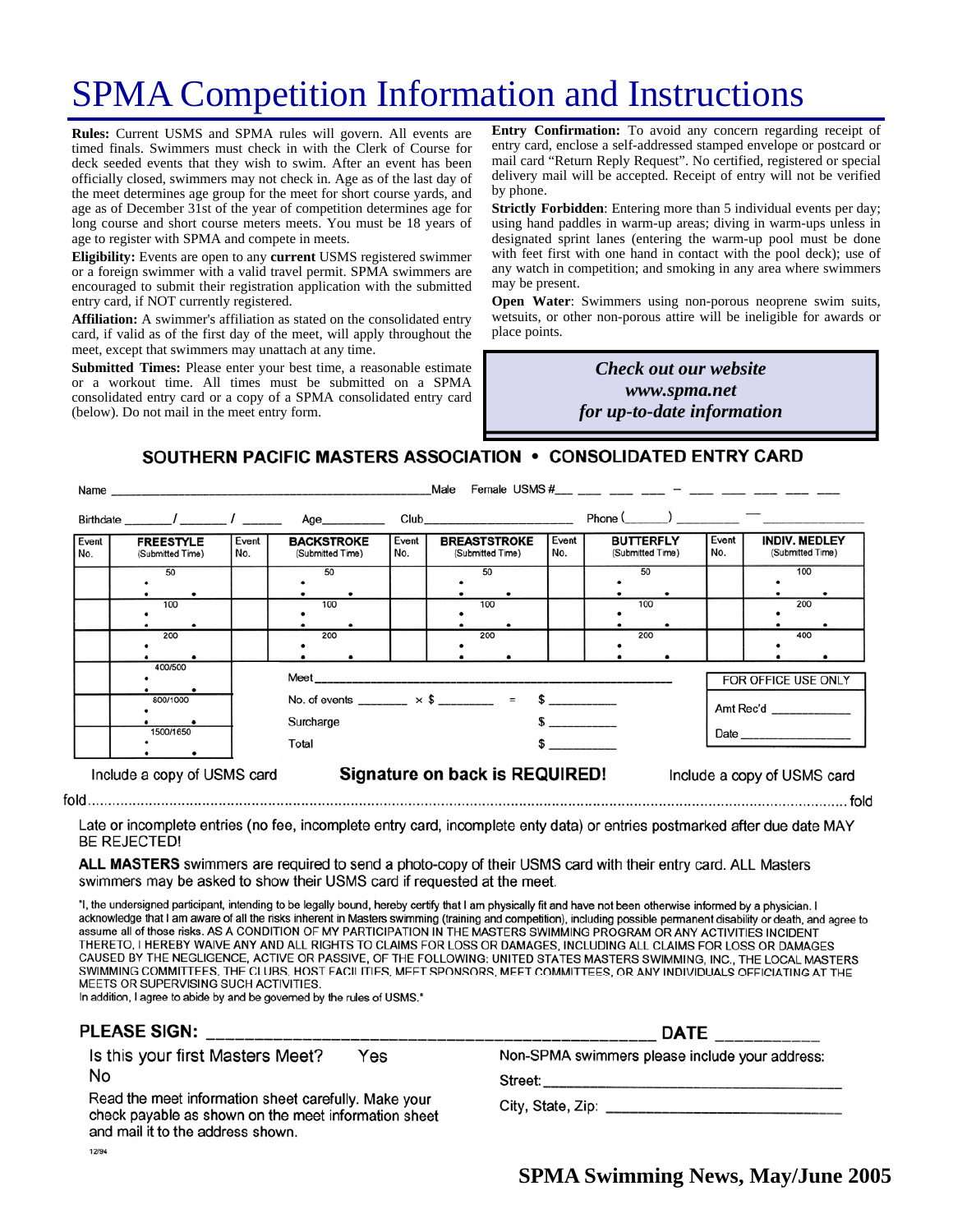# SPMA Competition Information and Instructions

**Rules:** Current USMS and SPMA rules will govern. All events are timed finals. Swimmers must check in with the Clerk of Course for deck seeded events that they wish to swim. After an event has been officially closed, swimmers may not check in. Age as of the last day of the meet determines age group for the meet for short course yards, and age as of December 31st of the year of competition determines age for long course and short course meters meets. You must be 18 years of age to register with SPMA and compete in meets.

**Eligibility:** Events are open to any **current** USMS registered swimmer or a foreign swimmer with a valid travel permit. SPMA swimmers are encouraged to submit their registration application with the submitted entry card, if NOT currently registered.

**Affiliation:** A swimmer's affiliation as stated on the consolidated entry card, if valid as of the first day of the meet, will apply throughout the meet, except that swimmers may unattach at any time.

**Submitted Times:** Please enter your best time, a reasonable estimate or a workout time. All times must be submitted on a SPMA consolidated entry card or a copy of a SPMA consolidated entry card (below). Do not mail in the meet entry form.

**Entry Confirmation:** To avoid any concern regarding receipt of entry card, enclose a self-addressed stamped envelope or postcard or mail card "Return Reply Request". No certified, registered or special delivery mail will be accepted. Receipt of entry will not be verified by phone.

**Strictly Forbidden**: Entering more than 5 individual events per day; using hand paddles in warm-up areas; diving in warm-ups unless in designated sprint lanes (entering the warm-up pool must be done with feet first with one hand in contact with the pool deck); use of any watch in competition; and smoking in any area where swimmers may be present.

**Open Water**: Swimmers using non-porous neoprene swim suits, wetsuits, or other non-porous attire will be ineligible for awards or place points.

## *Many the Check out our website Check out our website hosting the March Committee meeting and www.spma.net providing dinner! for up-to-date information*

### SOUTHERN PACIFIC MASTERS ASSOCIATION . CONSOLIDATED ENTRY CARD

|                                                                                              | Name and the contract of the contract of the contract of the contract of the contract of the contract of the contract of the contract of the contract of the contract of the contract of the contract of the contract of the c |              |                                                         |              | Male                                                                                                                                                                                                                           |                                                                                                                                                                                                                                                                                               | Female USMS #___ ___ ___ ___ __ __ __ ___ ___ ____ ___ ___ ___ |              |                                          |
|----------------------------------------------------------------------------------------------|--------------------------------------------------------------------------------------------------------------------------------------------------------------------------------------------------------------------------------|--------------|---------------------------------------------------------|--------------|--------------------------------------------------------------------------------------------------------------------------------------------------------------------------------------------------------------------------------|-----------------------------------------------------------------------------------------------------------------------------------------------------------------------------------------------------------------------------------------------------------------------------------------------|----------------------------------------------------------------|--------------|------------------------------------------|
|                                                                                              | Birthdate / /                                                                                                                                                                                                                  |              | Age__________                                           |              | Club and the contract of the contract of the contract of the contract of the contract of the contract of the contract of the contract of the contract of the contract of the contract of the contract of the contract of the c |                                                                                                                                                                                                                                                                                               | $Phone($ $)$ $)$ $)$                                           |              |                                          |
| Event<br>No.                                                                                 | <b>FREESTYLE</b><br>(Submitted Time)                                                                                                                                                                                           | Event<br>No. | <b>BACKSTROKE</b><br>(Submitted Time)                   | Event<br>No. | <b>BREASTSTROKE</b><br>(Submitted Time)                                                                                                                                                                                        | Event<br>No.                                                                                                                                                                                                                                                                                  | <b>BUTTERFLY</b><br>(Submitted Time)                           | Event<br>No. | <b>INDIV. MEDLEY</b><br>(Submitted Time) |
|                                                                                              | 50                                                                                                                                                                                                                             |              | 50                                                      |              | 50                                                                                                                                                                                                                             |                                                                                                                                                                                                                                                                                               | 50                                                             |              | 100                                      |
|                                                                                              |                                                                                                                                                                                                                                |              |                                                         |              |                                                                                                                                                                                                                                |                                                                                                                                                                                                                                                                                               |                                                                |              |                                          |
|                                                                                              | 100                                                                                                                                                                                                                            |              | 100                                                     |              | 100                                                                                                                                                                                                                            |                                                                                                                                                                                                                                                                                               | 100                                                            |              | 200                                      |
|                                                                                              |                                                                                                                                                                                                                                |              |                                                         |              |                                                                                                                                                                                                                                |                                                                                                                                                                                                                                                                                               |                                                                |              |                                          |
|                                                                                              | 200                                                                                                                                                                                                                            |              | 200                                                     |              | 200                                                                                                                                                                                                                            |                                                                                                                                                                                                                                                                                               | 200                                                            |              | 400                                      |
|                                                                                              |                                                                                                                                                                                                                                |              |                                                         |              |                                                                                                                                                                                                                                |                                                                                                                                                                                                                                                                                               |                                                                |              |                                          |
|                                                                                              | 400/500                                                                                                                                                                                                                        |              | FOR OFFICE USE ONLY                                     |              |                                                                                                                                                                                                                                |                                                                                                                                                                                                                                                                                               |                                                                |              |                                          |
|                                                                                              | 800/1000                                                                                                                                                                                                                       |              | No. of events _______ $\times$ \$ _______ = \$ ________ |              |                                                                                                                                                                                                                                |                                                                                                                                                                                                                                                                                               |                                                                | Amt Rec'd    |                                          |
|                                                                                              |                                                                                                                                                                                                                                |              | Surcharge                                               |              |                                                                                                                                                                                                                                |                                                                                                                                                                                                                                                                                               |                                                                |              |                                          |
|                                                                                              | 1500/1650                                                                                                                                                                                                                      |              | Total                                                   |              |                                                                                                                                                                                                                                | $\sim$ 5 $\sim$ 5 $\sim$ 5 $\sim$ 5 $\sim$ 5 $\sim$ 5 $\sim$ 5 $\sim$ 5 $\sim$ 5 $\sim$ 5 $\sim$ 5 $\sim$ 5 $\sim$ 5 $\sim$ 5 $\sim$ 5 $\sim$ 5 $\sim$ 5 $\sim$ 5 $\sim$ 5 $\sim$ 5 $\sim$ 5 $\sim$ 5 $\sim$ 5 $\sim$ 5 $\sim$ 5 $\sim$ 5 $\sim$ 5 $\sim$ 5 $\sim$ 5 $\sim$ 5 $\sim$ 5 $\sim$ |                                                                |              |                                          |
| Signature on back is REQUIRED!<br>Include a copy of USMS card<br>Include a copy of USMS card |                                                                                                                                                                                                                                |              |                                                         |              |                                                                                                                                                                                                                                |                                                                                                                                                                                                                                                                                               |                                                                |              |                                          |

Late or incomplete entries (no fee, incomplete entry card, incomplete enty data) or entries postmarked after due date MAY **BE REJECTED!** 

ALL MASTERS swimmers are required to send a photo-copy of their USMS card with their entry card. ALL Masters swimmers may be asked to show their USMS card if requested at the meet.

"I, the undersigned participant, intending to be legally bound, hereby certify that I am physically fit and have not been otherwise informed by a physician. I acknowledge that I am aware of all the risks inherent in Masters swimming (training and competition), including possible permanent disability or death, and agree to assume all of those risks. AS A CONDITION OF MY PARTICIPATION IN THE MASTERS SWIMMING PROGRAM OR ANY ACTIVITIES INCIDENT THERETO, I HEREBY WAIVE ANY AND ALL RIGHTS TO CLAIMS FOR LOSS OR DAMAGES, INCLUDING ALL CLAIMS FOR LOSS OR DAMAGES CAUSED BY THE NEGLIGENCE, ACTIVE OR PASSIVE, OF THE FOLLOWING: UNITED STATES MASTERS SWIMMING, INC., THE LOCAL MASTERS SWIMMING COMMITTEES, THE CLUBS, HOST FACILITIES, MEET SPONSORS, MEET COMMITTEES, OR ANY INDIVIDUALS OFFICIATING AT THE MEETS OR SUPERVISING SUCH ACTIVITIES.

In addition, I agree to abide by and be governed by the rules of USMS."

#### **PLEASE SIGN:**

Is this your first Masters Meet? Yes No

Read the meet information sheet carefully. Make your check payable as shown on the meet information sheet and mail it to the address shown. 12/94

| Non-SPMA swimmers please include your address: |  |  |  |
|------------------------------------------------|--|--|--|
|------------------------------------------------|--|--|--|

**DATE** 

City, State, Zip: example of the state of the state of the state of the state of the state of the state of the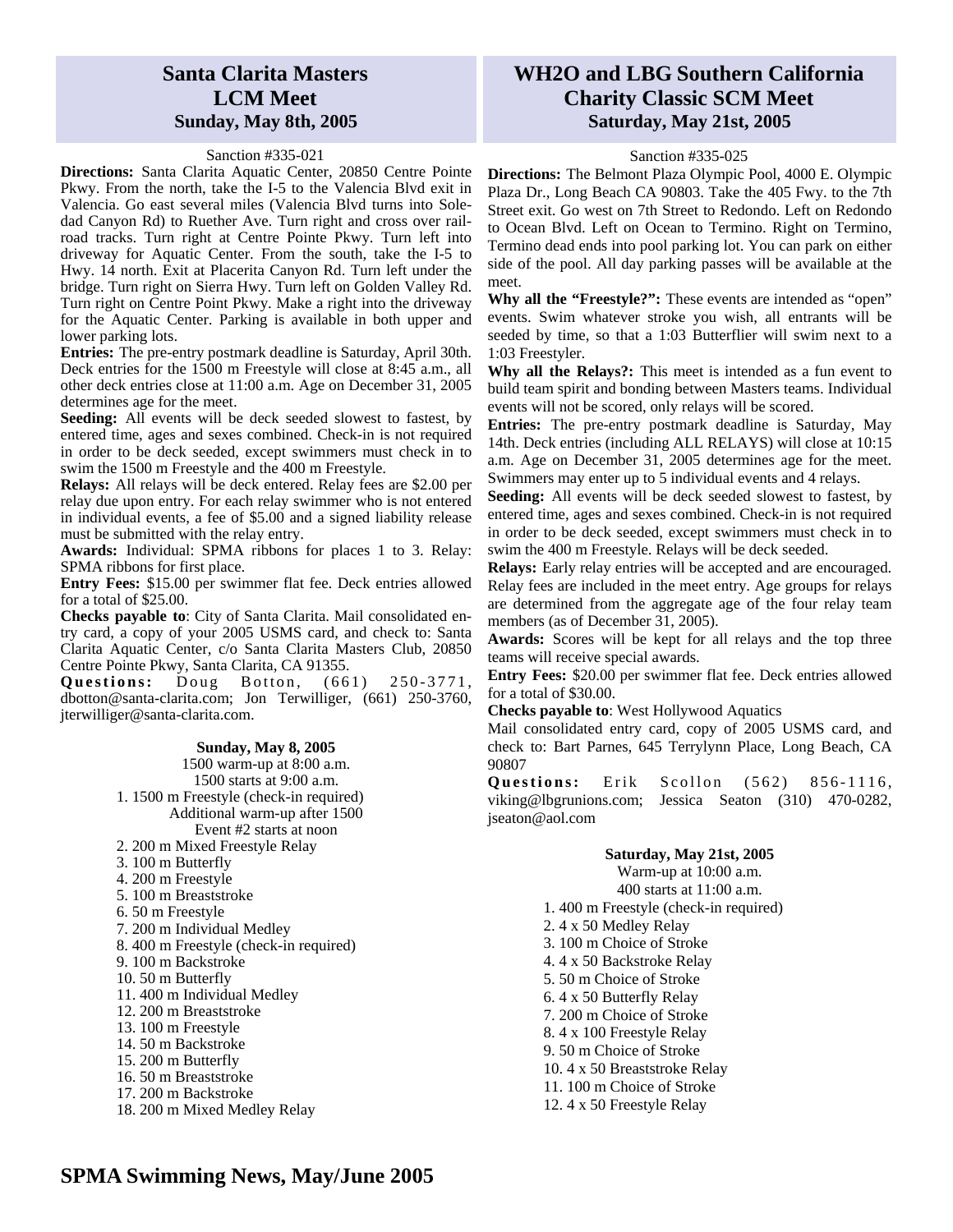# **Santa Clarita Masters LCM Meet Sunday, May 8th, 2005**

#### Sanction #335-021

**Directions:** Santa Clarita Aquatic Center, 20850 Centre Pointe Pkwy. From the north, take the I-5 to the Valencia Blvd exit in Valencia. Go east several miles (Valencia Blvd turns into Soledad Canyon Rd) to Ruether Ave. Turn right and cross over railroad tracks. Turn right at Centre Pointe Pkwy. Turn left into driveway for Aquatic Center. From the south, take the I-5 to Hwy. 14 north. Exit at Placerita Canyon Rd. Turn left under the bridge. Turn right on Sierra Hwy. Turn left on Golden Valley Rd. Turn right on Centre Point Pkwy. Make a right into the driveway for the Aquatic Center. Parking is available in both upper and lower parking lots.

**Entries:** The pre-entry postmark deadline is Saturday, April 30th. Deck entries for the 1500 m Freestyle will close at 8:45 a.m., all other deck entries close at 11:00 a.m. Age on December 31, 2005 determines age for the meet.

**Seeding:** All events will be deck seeded slowest to fastest, by entered time, ages and sexes combined. Check-in is not required in order to be deck seeded, except swimmers must check in to swim the 1500 m Freestyle and the 400 m Freestyle.

**Relays:** All relays will be deck entered. Relay fees are \$2.00 per relay due upon entry. For each relay swimmer who is not entered in individual events, a fee of \$5.00 and a signed liability release must be submitted with the relay entry.

**Awards:** Individual: SPMA ribbons for places 1 to 3. Relay: SPMA ribbons for first place.

**Entry Fees:** \$15.00 per swimmer flat fee. Deck entries allowed for a total of \$25.00.

**Checks payable to**: City of Santa Clarita. Mail consolidated entry card, a copy of your 2005 USMS card, and check to: Santa Clarita Aquatic Center, c/o Santa Clarita Masters Club, 20850 Centre Pointe Pkwy, Santa Clarita, CA 91355.

**Questions:** Doug Botton, (661) 250-3771, dbotton@santa-clarita.com; Jon Terwilliger, (661) 250-3760, jterwilliger@santa-clarita.com.

*Please read the general information on entering*  16. 50 m Breaststroke *swim meets on the third page of this newsletter!*  17. 200 m Backstroke **Sunday, May 8, 2005**  1500 warm-up at 8:00 a.m. 1500 starts at 9:00 a.m. 1. 1500 m Freestyle (check-in required) Additional warm-up after 1500 Event #2 starts at noon 2. 200 m Mixed Freestyle Relay 3. 100 m Butterfly 4. 200 m Freestyle 5. 100 m Breaststroke 6. 50 m Freestyle 7. 200 m Individual Medley 8. 400 m Freestyle (check-in required) 9. 100 m Backstroke 10. 50 m Butterfly 11. 400 m Individual Medley 12. 200 m Breaststroke 13. 100 m Freestyle 14. 50 m Backstroke 15. 200 m Butterfly 18. 200 m Mixed Medley Relay

## **WH2O and LBG Southern California Charity Classic SCM Meet Saturday, May 21st, 2005**

#### Sanction #335-025

**Directions:** The Belmont Plaza Olympic Pool, 4000 E. Olympic Plaza Dr., Long Beach CA 90803. Take the 405 Fwy. to the 7th Street exit. Go west on 7th Street to Redondo. Left on Redondo to Ocean Blvd. Left on Ocean to Termino. Right on Termino, Termino dead ends into pool parking lot. You can park on either side of the pool. All day parking passes will be available at the meet.

**Why all the "Freestyle?":** These events are intended as "open" events. Swim whatever stroke you wish, all entrants will be seeded by time, so that a 1:03 Butterflier will swim next to a 1:03 Freestyler.

**Why all the Relays?:** This meet is intended as a fun event to build team spirit and bonding between Masters teams. Individual events will not be scored, only relays will be scored.

**Entries:** The pre-entry postmark deadline is Saturday, May 14th. Deck entries (including ALL RELAYS) will close at 10:15 a.m. Age on December 31, 2005 determines age for the meet. Swimmers may enter up to 5 individual events and 4 relays.

**Seeding:** All events will be deck seeded slowest to fastest, by entered time, ages and sexes combined. Check-in is not required in order to be deck seeded, except swimmers must check in to swim the 400 m Freestyle. Relays will be deck seeded.

**Relays:** Early relay entries will be accepted and are encouraged. Relay fees are included in the meet entry. Age groups for relays are determined from the aggregate age of the four relay team members (as of December 31, 2005).

**Awards:** Scores will be kept for all relays and the top three teams will receive special awards.

**Entry Fees:** \$20.00 per swimmer flat fee. Deck entries allowed for a total of \$30.00.

**Checks payable to**: West Hollywood Aquatics

Mail consolidated entry card, copy of 2005 USMS card, and check to: Bart Parnes, 645 Terrylynn Place, Long Beach, CA 90807

**Questions:** Erik Scollon (562) 856-1116, viking@lbgrunions.com; Jessica Seaton (310) 470-0282, jseaton@aol.com

#### **Saturday, May 21st, 2005**

Warm-up at 10:00 a.m.

400 starts at 11:00 a.m.

1. 400 m Freestyle (check-in required)

- 2. 4 x 50 Medley Relay
- 3. 100 m Choice of Stroke
- 4. 4 x 50 Backstroke Relay
- 5. 50 m Choice of Stroke
- 6. 4 x 50 Butterfly Relay
- 7. 200 m Choice of Stroke
- 8. 4 x 100 Freestyle Relay
- 9. 50 m Choice of Stroke
- 10. 4 x 50 Breaststroke Relay
- 11. 100 m Choice of Stroke
- 12. 4 x 50 Freestyle Relay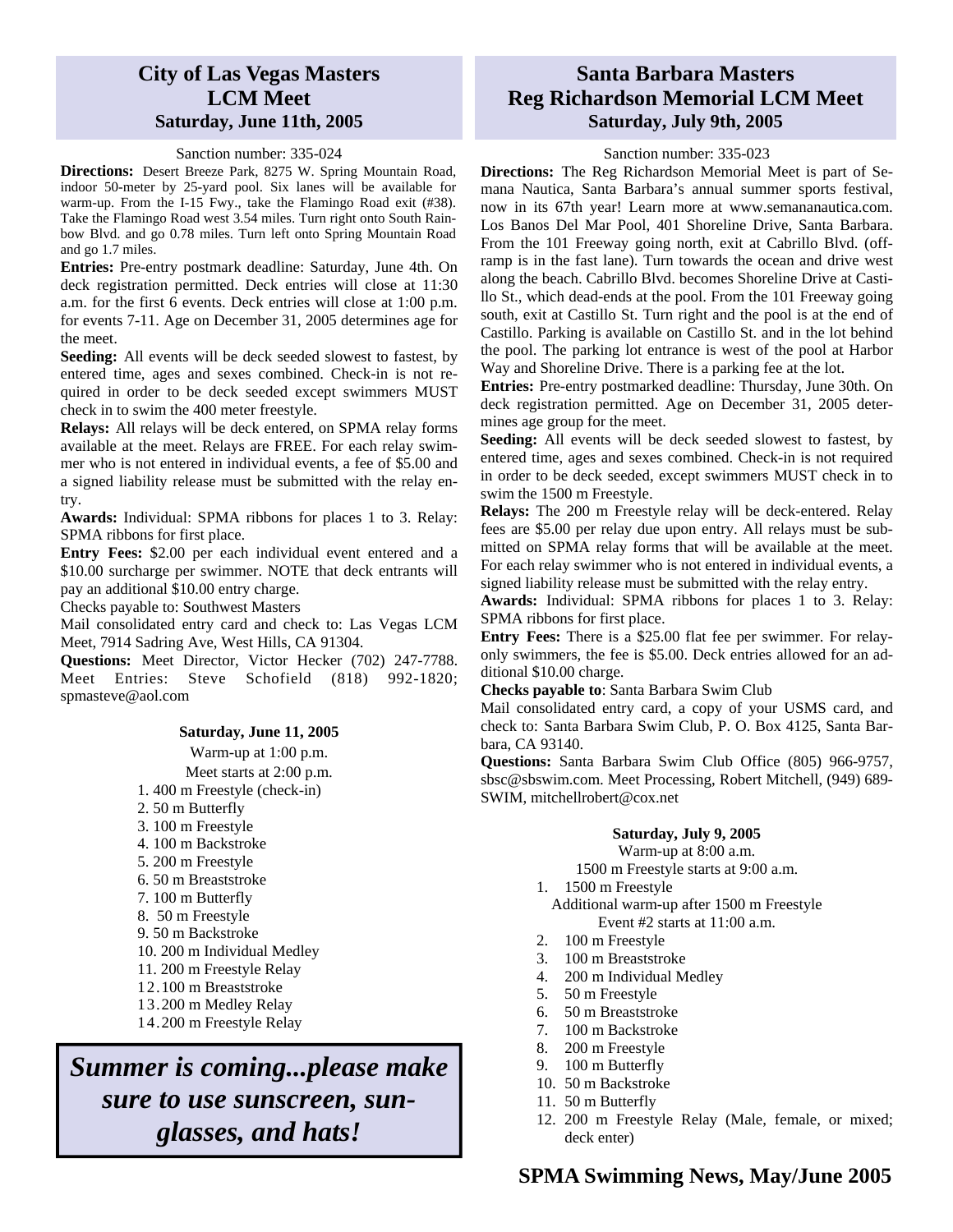### **City of Las Vegas Masters LCM Meet Saturday, June 11th, 2005**

#### Sanction number: 335-024

**Directions:** Desert Breeze Park, 8275 W. Spring Mountain Road, indoor 50-meter by 25-yard pool. Six lanes will be available for warm-up. From the I-15 Fwy., take the Flamingo Road exit (#38). Take the Flamingo Road west 3.54 miles. Turn right onto South Rainbow Blvd. and go 0.78 miles. Turn left onto Spring Mountain Road and go 1.7 miles.

**Entries:** Pre-entry postmark deadline: Saturday, June 4th. On deck registration permitted. Deck entries will close at 11:30 a.m. for the first 6 events. Deck entries will close at 1:00 p.m. for events 7-11. Age on December 31, 2005 determines age for the meet.

**Seeding:** All events will be deck seeded slowest to fastest, by entered time, ages and sexes combined. Check-in is not required in order to be deck seeded except swimmers MUST check in to swim the 400 meter freestyle.

**Relays:** All relays will be deck entered, on SPMA relay forms available at the meet. Relays are FREE. For each relay swimmer who is not entered in individual events, a fee of \$5.00 and a signed liability release must be submitted with the relay entry.

**Awards:** Individual: SPMA ribbons for places 1 to 3. Relay: SPMA ribbons for first place.

**Entry Fees:** \$2.00 per each individual event entered and a \$10.00 surcharge per swimmer. NOTE that deck entrants will pay an additional \$10.00 entry charge.

Checks payable to: Southwest Masters

Mail consolidated entry card and check to: Las Vegas LCM Meet, 7914 Sadring Ave, West Hills, CA 91304.

**Questions:** Meet Director, Victor Hecker (702) 247-7788. Meet Entries: Steve Schofield (818) 992-1820; spmasteve@aol.com

#### **Saturday, June 11, 2005**

Warm-up at 1:00 p.m.

Meet starts at 2:00 p.m.

- 1. 400 m Freestyle (check-in)
- 2. 50 m Butterfly
- 3. 100 m Freestyle
- 4. 100 m Backstroke
- 5. 200 m Freestyle
- 6. 50 m Breaststroke
- 7. 100 m Butterfly
- 8. 50 m Freestyle
- 9. 50 m Backstroke
- 10. 200 m Individual Medley
- 11. 200 m Freestyle Relay
- 12.100 m Breaststroke
- 13.200 m Medley Relay
- 14.200 m Freestyle Relay

*Summer is coming...please make sure to use sunscreen, sunglasses, and hats!* 

# **Santa Barbara Masters Reg Richardson Memorial LCM Meet Saturday, July 9th, 2005**

#### Sanction number: 335-023

**Directions:** The Reg Richardson Memorial Meet is part of Semana Nautica, Santa Barbara's annual summer sports festival, now in its 67th year! Learn more at www.semananautica.com. Los Banos Del Mar Pool, 401 Shoreline Drive, Santa Barbara. From the 101 Freeway going north, exit at Cabrillo Blvd. (offramp is in the fast lane). Turn towards the ocean and drive west along the beach. Cabrillo Blvd. becomes Shoreline Drive at Castillo St., which dead-ends at the pool. From the 101 Freeway going south, exit at Castillo St. Turn right and the pool is at the end of Castillo. Parking is available on Castillo St. and in the lot behind the pool. The parking lot entrance is west of the pool at Harbor Way and Shoreline Drive. There is a parking fee at the lot.

**Entries:** Pre-entry postmarked deadline: Thursday, June 30th. On deck registration permitted. Age on December 31, 2005 determines age group for the meet.

**Seeding:** All events will be deck seeded slowest to fastest, by entered time, ages and sexes combined. Check-in is not required in order to be deck seeded, except swimmers MUST check in to swim the 1500 m Freestyle.

**Relays:** The 200 m Freestyle relay will be deck-entered. Relay fees are \$5.00 per relay due upon entry. All relays must be submitted on SPMA relay forms that will be available at the meet. For each relay swimmer who is not entered in individual events, a signed liability release must be submitted with the relay entry.

**Awards:** Individual: SPMA ribbons for places 1 to 3. Relay: SPMA ribbons for first place.

**Entry Fees:** There is a \$25.00 flat fee per swimmer. For relayonly swimmers, the fee is \$5.00. Deck entries allowed for an additional \$10.00 charge.

#### **Checks payable to**: Santa Barbara Swim Club

Mail consolidated entry card, a copy of your USMS card, and check to: Santa Barbara Swim Club, P. O. Box 4125, Santa Barbara, CA 93140.

**Questions:** Santa Barbara Swim Club Office (805) 966-9757, sbsc@sbswim.com. Meet Processing, Robert Mitchell, (949) 689- SWIM, mitchellrobert@cox.net

#### **Saturday, July 9, 2005**

Warm-up at 8:00 a.m.

1500 m Freestyle starts at 9:00 a.m.

- 1. 1500 m Freestyle
	- Additional warm-up after 1500 m Freestyle Event #2 starts at 11:00 a.m.
- 2. 100 m Freestyle
- 3. 100 m Breaststroke
- 4. 200 m Individual Medley
- 5. 50 m Freestyle
- 6. 50 m Breaststroke
- 7. 100 m Backstroke
- 8. 200 m Freestyle
- 9. 100 m Butterfly
- 10. 50 m Backstroke
- 11. 50 m Butterfly
- 12. 200 m Freestyle Relay (Male, female, or mixed; deck enter)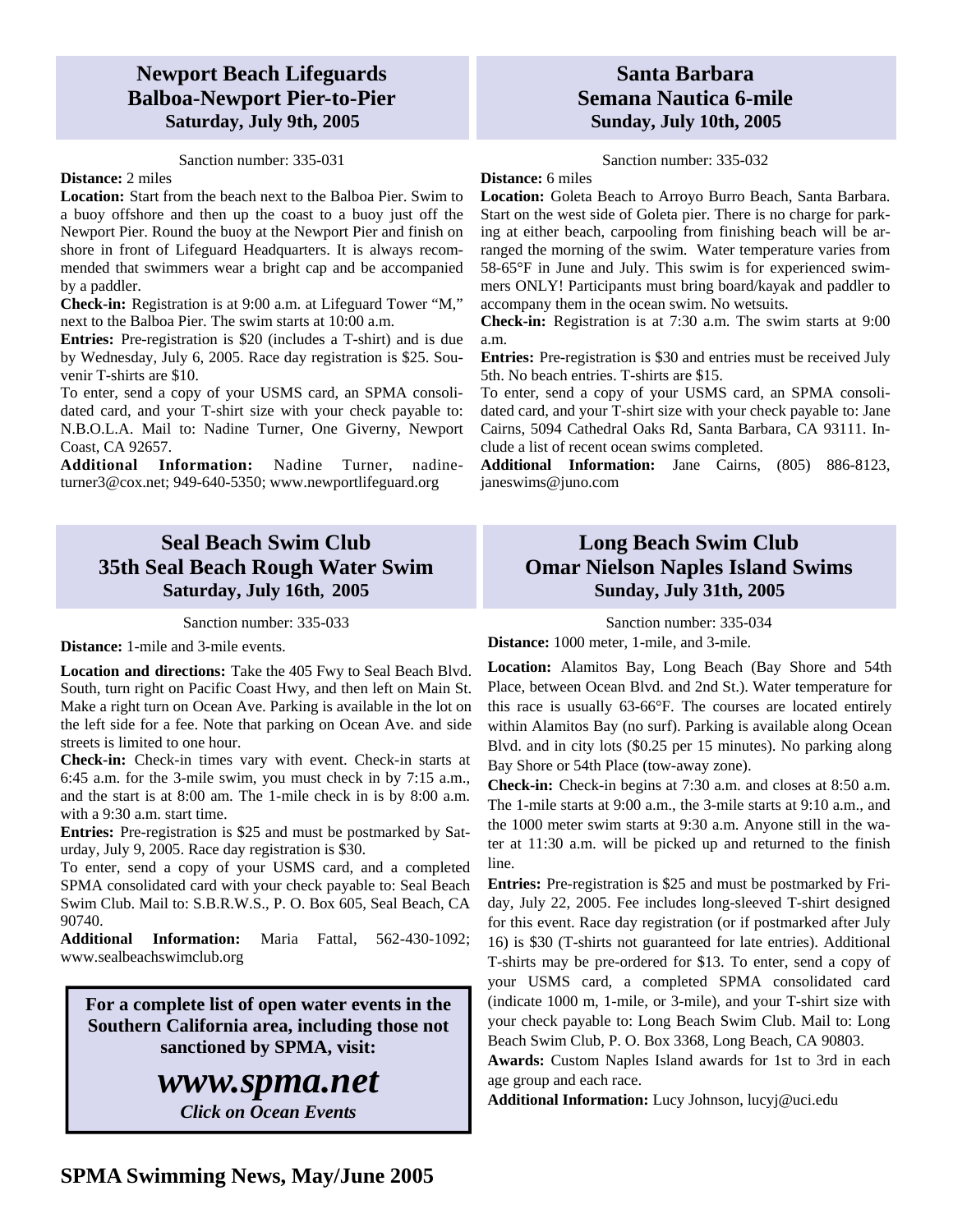## **Newport Beach Lifeguards Balboa-Newport Pier-to-Pier Saturday, July 9th, 2005**

Sanction number: 335-031

#### **Distance:** 2 miles

**Location:** Start from the beach next to the Balboa Pier. Swim to a buoy offshore and then up the coast to a buoy just off the Newport Pier. Round the buoy at the Newport Pier and finish on shore in front of Lifeguard Headquarters. It is always recommended that swimmers wear a bright cap and be accompanied by a paddler.

**Check-in:** Registration is at 9:00 a.m. at Lifeguard Tower "M," next to the Balboa Pier. The swim starts at 10:00 a.m.

**Entries:** Pre-registration is \$20 (includes a T-shirt) and is due by Wednesday, July 6, 2005. Race day registration is \$25. Souvenir T-shirts are \$10.

To enter, send a copy of your USMS card, an SPMA consolidated card, and your T-shirt size with your check payable to: N.B.O.L.A. Mail to: Nadine Turner, One Giverny, Newport Coast, CA 92657.

**Additional Information:** Nadine Turner, nadineturner3@cox.net; 949-640-5350; www.newportlifeguard.org

# **Seal Beach Swim Club 35th Seal Beach Rough Water Swim Saturday, July 16th, 2005**

Sanction number: 335-033

**Distance:** 1-mile and 3-mile events.

**Location and directions:** Take the 405 Fwy to Seal Beach Blvd. South, turn right on Pacific Coast Hwy, and then left on Main St. Make a right turn on Ocean Ave. Parking is available in the lot on the left side for a fee. Note that parking on Ocean Ave. and side streets is limited to one hour.

**Check-in:** Check-in times vary with event. Check-in starts at 6:45 a.m. for the 3-mile swim, you must check in by 7:15 a.m., and the start is at 8:00 am. The 1-mile check in is by 8:00 a.m. with a 9:30 a.m. start time.

**Entries:** Pre-registration is \$25 and must be postmarked by Saturday, July 9, 2005. Race day registration is \$30.

To enter, send a copy of your USMS card, and a completed SPMA consolidated card with your check payable to: Seal Beach Swim Club. Mail to: S.B.R.W.S., P. O. Box 605, Seal Beach, CA 90740.

**Additional Information:** Maria Fattal, 562-430-1092; www.sealbeachswimclub.org

**For a complete list of open water events in the Southern California area, including those not sanctioned by SPMA, visit:** 

# *www.spma.net*

*Click on Ocean Events* 

## **Santa Barbara Semana Nautica 6-mile Sunday, July 10th, 2005**

Sanction number: 335-032

**Distance:** 6 miles

**Location:** Goleta Beach to Arroyo Burro Beach, Santa Barbara. Start on the west side of Goleta pier. There is no charge for parking at either beach, carpooling from finishing beach will be arranged the morning of the swim. Water temperature varies from 58-65°F in June and July. This swim is for experienced swimmers ONLY! Participants must bring board/kayak and paddler to accompany them in the ocean swim. No wetsuits.

**Check-in:** Registration is at 7:30 a.m. The swim starts at 9:00 a.m.

**Entries:** Pre-registration is \$30 and entries must be received July 5th. No beach entries. T-shirts are \$15.

To enter, send a copy of your USMS card, an SPMA consolidated card, and your T-shirt size with your check payable to: Jane Cairns, 5094 Cathedral Oaks Rd, Santa Barbara, CA 93111. Include a list of recent ocean swims completed.

**Additional Information:** Jane Cairns, (805) 886-8123, janeswims@juno.com

# **Long Beach Swim Club Omar Nielson Naples Island Swims Sunday, July 31th, 2005**

Sanction number: 335-034

**Distance:** 1000 meter, 1-mile, and 3-mile.

**Location:** Alamitos Bay, Long Beach (Bay Shore and 54th Place, between Ocean Blvd. and 2nd St.). Water temperature for this race is usually 63-66°F. The courses are located entirely within Alamitos Bay (no surf). Parking is available along Ocean Blvd. and in city lots (\$0.25 per 15 minutes). No parking along Bay Shore or 54th Place (tow-away zone).

**Check-in:** Check-in begins at 7:30 a.m. and closes at 8:50 a.m. The 1-mile starts at 9:00 a.m., the 3-mile starts at 9:10 a.m., and the 1000 meter swim starts at 9:30 a.m. Anyone still in the water at 11:30 a.m. will be picked up and returned to the finish line.

**Entries:** Pre-registration is \$25 and must be postmarked by Friday, July 22, 2005. Fee includes long-sleeved T-shirt designed for this event. Race day registration (or if postmarked after July 16) is \$30 (T-shirts not guaranteed for late entries). Additional T-shirts may be pre-ordered for \$13. To enter, send a copy of your USMS card, a completed SPMA consolidated card (indicate 1000 m, 1-mile, or 3-mile), and your T-shirt size with your check payable to: Long Beach Swim Club. Mail to: Long Beach Swim Club, P. O. Box 3368, Long Beach, CA 90803.

**Awards:** Custom Naples Island awards for 1st to 3rd in each age group and each race.

**Additional Information:** Lucy Johnson, lucyj@uci.edu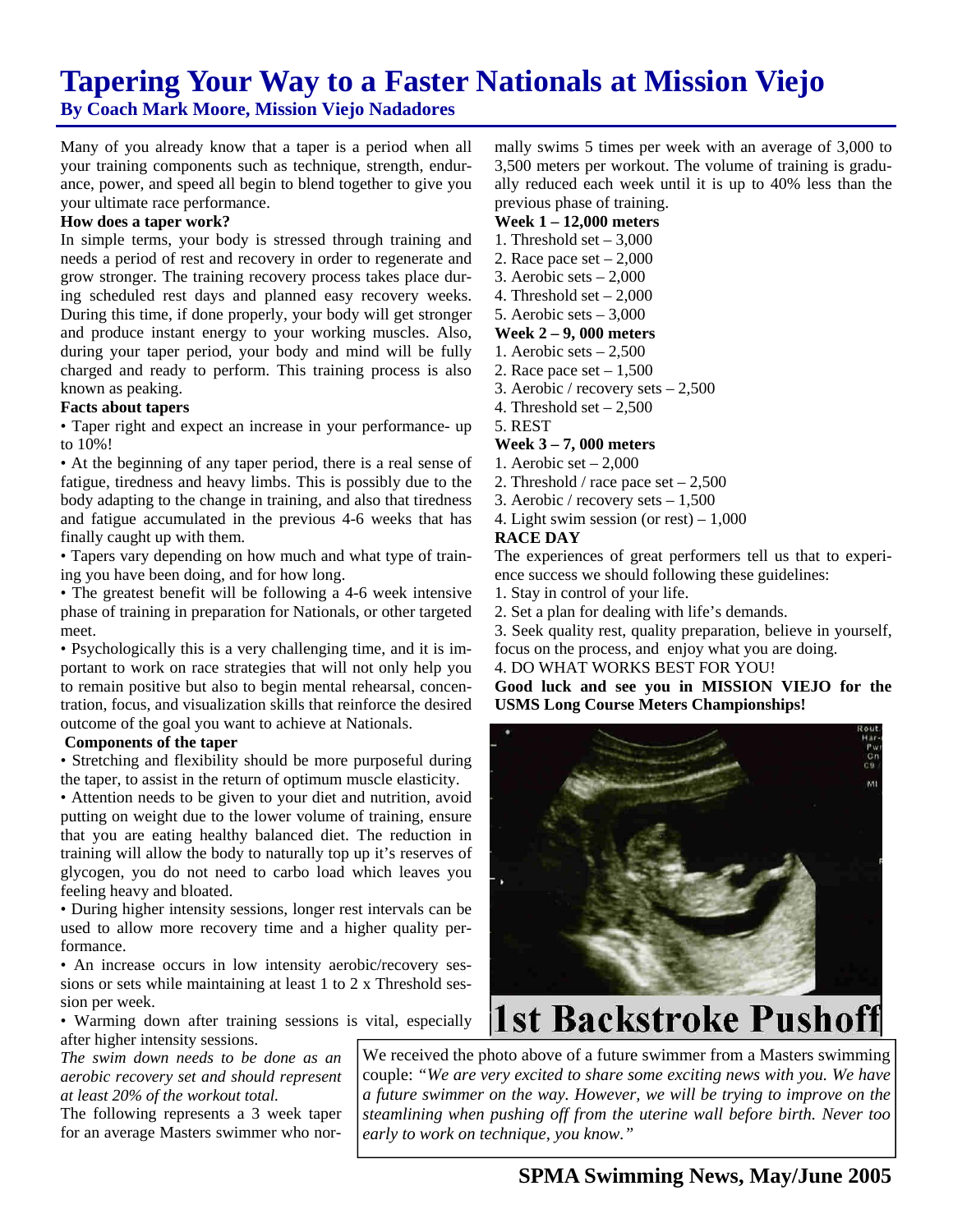# **Tapering Your Way to a Faster Nationals at Mission Viejo**

**By Coach Mark Moore, Mission Viejo Nadadores** 

Many of you already know that a taper is a period when all your training components such as technique, strength, endurance, power, and speed all begin to blend together to give you your ultimate race performance.

#### **How does a taper work?**

In simple terms, your body is stressed through training and needs a period of rest and recovery in order to regenerate and grow stronger. The training recovery process takes place during scheduled rest days and planned easy recovery weeks. During this time, if done properly, your body will get stronger and produce instant energy to your working muscles. Also, during your taper period, your body and mind will be fully charged and ready to perform. This training process is also known as peaking.

#### **Facts about tapers**

• Taper right and expect an increase in your performance- up to 10%!

• At the beginning of any taper period, there is a real sense of fatigue, tiredness and heavy limbs. This is possibly due to the body adapting to the change in training, and also that tiredness and fatigue accumulated in the previous 4-6 weeks that has finally caught up with them.

• Tapers vary depending on how much and what type of training you have been doing, and for how long.

• The greatest benefit will be following a 4-6 week intensive phase of training in preparation for Nationals, or other targeted meet.

• Psychologically this is a very challenging time, and it is important to work on race strategies that will not only help you to remain positive but also to begin mental rehearsal, concentration, focus, and visualization skills that reinforce the desired outcome of the goal you want to achieve at Nationals.

#### **Components of the taper**

• Stretching and flexibility should be more purposeful during the taper, to assist in the return of optimum muscle elasticity.

• Attention needs to be given to your diet and nutrition, avoid putting on weight due to the lower volume of training, ensure that you are eating healthy balanced diet. The reduction in training will allow the body to naturally top up it's reserves of glycogen, you do not need to carbo load which leaves you feeling heavy and bloated.

• During higher intensity sessions, longer rest intervals can be used to allow more recovery time and a higher quality performance.

• An increase occurs in low intensity aerobic/recovery sessions or sets while maintaining at least 1 to 2 x Threshold session per week.

• Warming down after training sessions is vital, especially after higher intensity sessions.

*The swim down needs to be done as an aerobic recovery set and should represent at least 20% of the workout total.* 

The following represents a 3 week taper for an average Masters swimmer who nor-

mally swims 5 times per week with an average of 3,000 to 3,500 meters per workout. The volume of training is gradually reduced each week until it is up to 40% less than the previous phase of training.

#### **Week 1 – 12,000 meters**

- 1. Threshold set  $-3,000$
- 2. Race pace set  $-2,000$
- 3. Aerobic sets 2,000
- 4. Threshold set  $-2.000$
- 5. Aerobic sets 3,000

#### **Week 2 – 9, 000 meters**

- 1. Aerobic sets  $-2,500$
- 2. Race pace set  $-1,500$
- 3. Aerobic / recovery sets 2,500
- 4. Threshold set  $-2,500$
- 5. REST

#### **Week 3 – 7, 000 meters**

- 1. Aerobic set 2,000
- 2. Threshold / race pace set  $-2,500$
- 3. Aerobic / recovery sets 1,500
- 4. Light swim session (or rest) 1,000

#### **RACE DAY**

The experiences of great performers tell us that to experience success we should following these guidelines:

1. Stay in control of your life.

2. Set a plan for dealing with life's demands.

3. Seek quality rest, quality preparation, believe in yourself, focus on the process, and enjoy what you are doing.

### 4. DO WHAT WORKS BEST FOR YOU!

**Good luck and see you in MISSION VIEJO for the USMS Long Course Meters Championships!** 



# **1st Backstroke Pushoff**

We received the photo above of a future swimmer from a Masters swimming couple: *"We are very excited to share some exciting news with you. We have a future swimmer on the way. However, we will be trying to improve on the steamlining when pushing off from the uterine wall before birth. Never too early to work on technique, you know."*